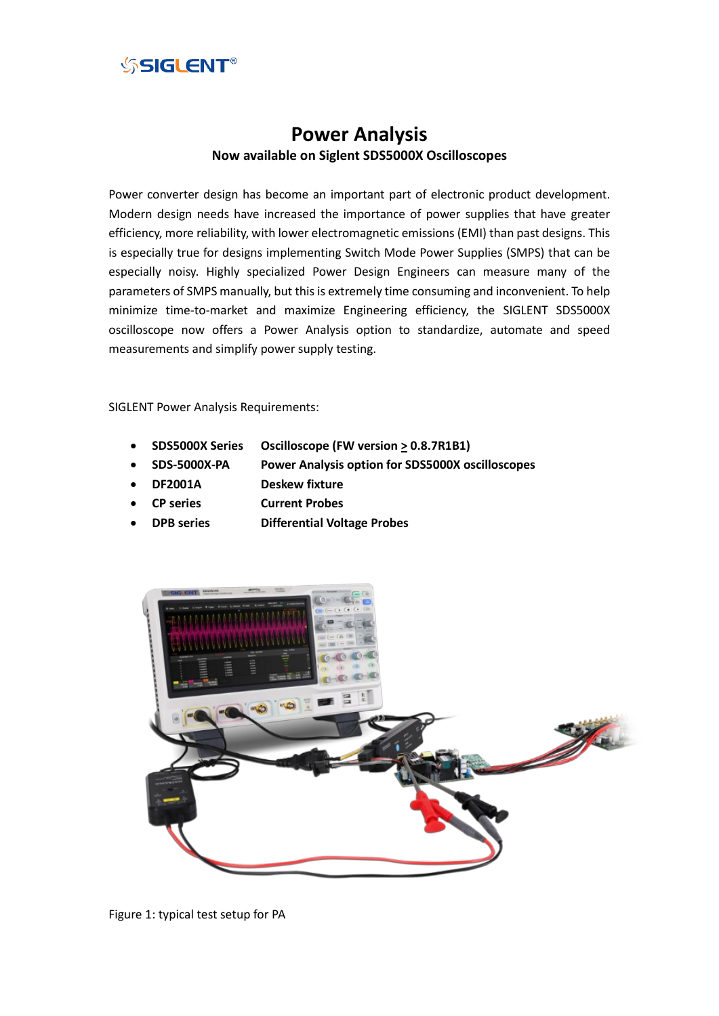

# **Power Analysis Now available on Siglent SDS5000X Oscilloscopes**

Power converter design has become an important part of electronic product development. Modern design needs have increased the importance of power supplies that have greater efficiency, more reliability, with lower electromagnetic emissions (EMI) than past designs. This is especially true for designs implementing Switch Mode Power Supplies (SMPS) that can be especially noisy. Highly specialized Power Design Engineers can measure many of the parameters of SMPS manually, but this is extremely time consuming and inconvenient. To help minimize time-to-market and maximize Engineering efficiency, the SIGLENT SDS5000X oscilloscope now offers a Power Analysis option to standardize, automate and speed measurements and simplify power supply testing.

SIGLENT Power Analysis Requirements:

- **SDS5000X Series Oscilloscope (FW version > 0.8.7R1B1)**
- **SDS-5000X-PA Power Analysis option for SDS5000X oscilloscopes**
- **DF2001A Deskew fixture**
- **CP series Current Probes**
- **DPB series Differential Voltage Probes**



Figure 1: typical test setup for PA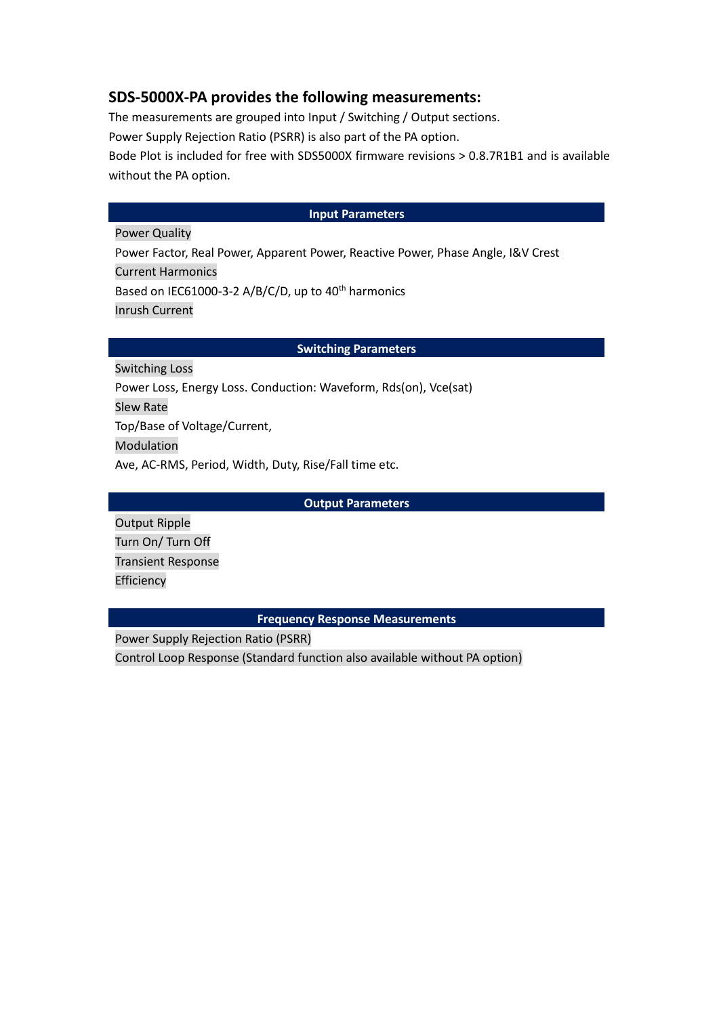## **SDS-5000X-PA provides the following measurements:**

The measurements are grouped into Input / Switching / Output sections.

Power Supply Rejection Ratio (PSRR) is also part of the PA option.

Bode Plot is included for free with SDS5000X firmware revisions > 0.8.7R1B1 and is available without the PA option.

### **Input Parameters**

Power Quality Power Factor, Real Power, Apparent Power, Reactive Power, Phase Angle, I&V Crest Current Harmonics Based on IEC61000-3-2 A/B/C/D, up to  $40<sup>th</sup>$  harmonics Inrush Current

### **Switching Parameters**

Switching Loss Power Loss, Energy Loss. Conduction: Waveform, Rds(on), Vce(sat) Slew Rate Top/Base of Voltage/Current, Modulation Ave, AC-RMS, Period, Width, Duty, Rise/Fall time etc.

**Output Parameters**

Output Ripple Turn On/ Turn Off Transient Response Efficiency

### **Frequency Response Measurements**

Power Supply Rejection Ratio (PSRR)

Control Loop Response (Standard function also available without PA option)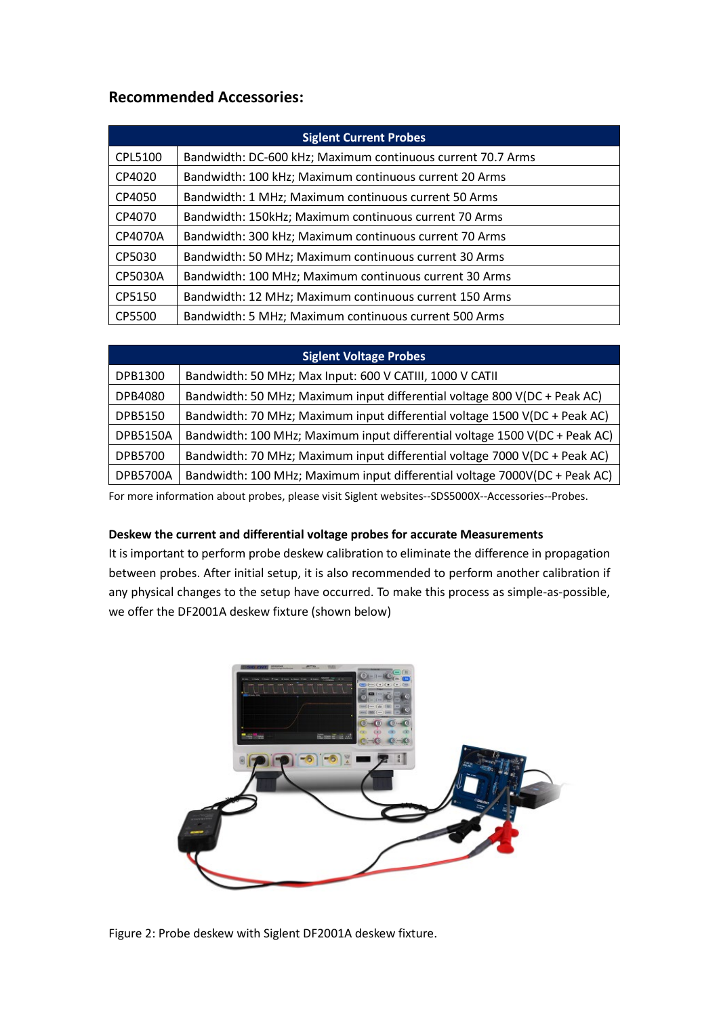## **Recommended Accessories:**

| <b>Siglent Current Probes</b> |                                                             |
|-------------------------------|-------------------------------------------------------------|
| CPL5100                       | Bandwidth: DC-600 kHz; Maximum continuous current 70.7 Arms |
| CP4020                        | Bandwidth: 100 kHz; Maximum continuous current 20 Arms      |
| CP4050                        | Bandwidth: 1 MHz; Maximum continuous current 50 Arms        |
| CP4070                        | Bandwidth: 150kHz; Maximum continuous current 70 Arms       |
| CP4070A                       | Bandwidth: 300 kHz; Maximum continuous current 70 Arms      |
| CP5030                        | Bandwidth: 50 MHz; Maximum continuous current 30 Arms       |
| CP5030A                       | Bandwidth: 100 MHz; Maximum continuous current 30 Arms      |
| CP5150                        | Bandwidth: 12 MHz; Maximum continuous current 150 Arms      |
| CP5500                        | Bandwidth: 5 MHz; Maximum continuous current 500 Arms       |

| <b>Siglent Voltage Probes</b> |                                                                             |
|-------------------------------|-----------------------------------------------------------------------------|
| DPB1300                       | Bandwidth: 50 MHz; Max Input: 600 V CATIII, 1000 V CATII                    |
| DPB4080                       | Bandwidth: 50 MHz; Maximum input differential voltage 800 V(DC + Peak AC)   |
| <b>DPB5150</b>                | Bandwidth: 70 MHz; Maximum input differential voltage 1500 V(DC + Peak AC)  |
| <b>DPB5150A</b>               | Bandwidth: 100 MHz; Maximum input differential voltage 1500 V(DC + Peak AC) |
| DPB5700                       | Bandwidth: 70 MHz; Maximum input differential voltage 7000 V(DC + Peak AC)  |
| <b>DPB5700A</b>               | Bandwidth: 100 MHz; Maximum input differential voltage 7000V(DC + Peak AC)  |

For more information about probes, please visit Siglent websites--SDS5000X--Accessories--Probes.

## **Deskew the current and differential voltage probes for accurate Measurements**

It is important to perform probe deskew calibration to eliminate the difference in propagation between probes. After initial setup, it is also recommended to perform another calibration if any physical changes to the setup have occurred. To make this process as simple-as-possible, we offer the DF2001A deskew fixture (shown below)



Figure 2: Probe deskew with Siglent DF2001A deskew fixture.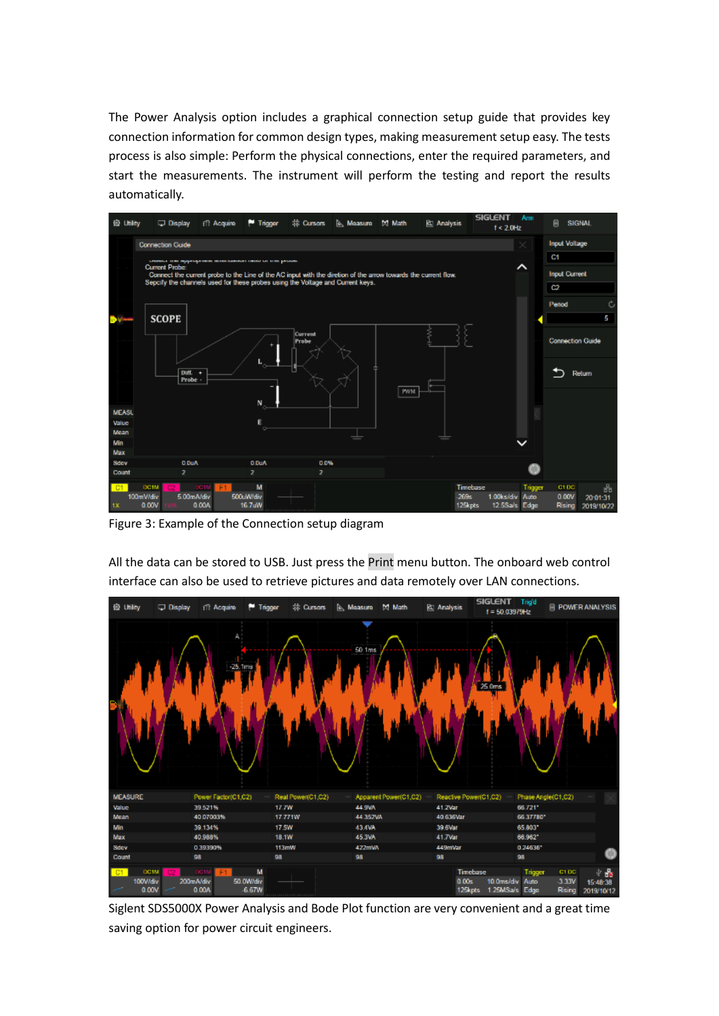The Power Analysis option includes a graphical connection setup guide that provides key connection information for common design types, making measurement setup easy. The tests process is also simple: Perform the physical connections, enter the required parameters, and start the measurements. The instrument will perform the testing and report the results automatically.



Figure 3: Example of the Connection setup diagram



All the data can be stored to USB. Just press the Print menu button. The onboard web control interface can also be used to retrieve pictures and data remotely over LAN connections.

Siglent SDS5000X Power Analysis and Bode Plot function are very convenient and a great time saving option for power circuit engineers.